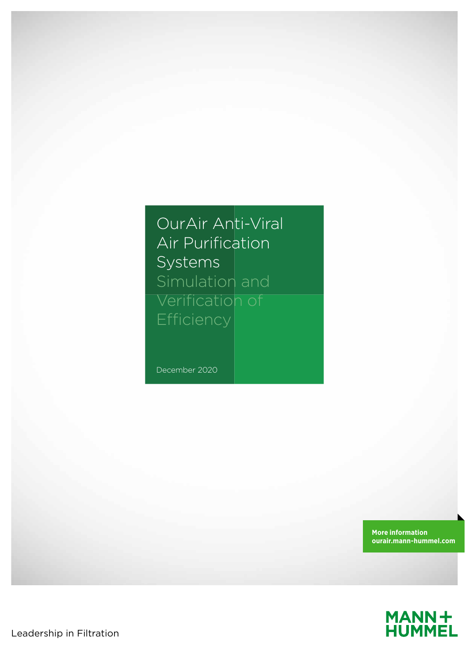OurAir Anti-Viral Air Purification Systems Simulation and Verification of Efficiency

December 2020

**More information ourair.mann-hummel.com**



Leadership in Filtration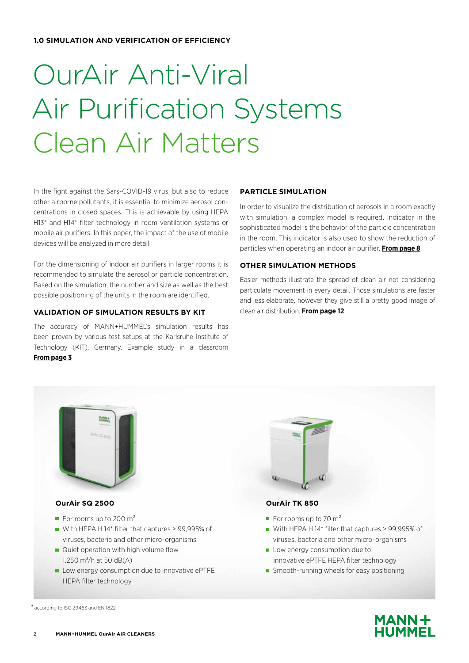**1.0 SIMULATION AND VERIFICATION OF EFFICIENCY**

# OurAir Anti-Viral Air Purification Systems Clean Air Matters

In the fight against the Sars-COVID-19 virus, but also to reduce other airborne pollutants, it is essential to minimize aerosol concentrations in closed spaces. This is achievable by using HEPA H13\* and H14\* filter technology in room ventilation systems or mobile air purifiers. In this paper, the impact of the use of mobile devices will be analyzed in more detail.

For the dimensioning of indoor air purifiers in larger rooms it is recommended to simulate the aerosol or particle concentration. Based on the simulation, the number and size as well as the best possible positioning of the units in the room are identified.

### **VALIDATION OF SIMULATION RESULTS BY KIT**

The accuracy of MANN+HUMMEL's simulation results has been proven by various test setups at the Karlsruhe Institute of Technology (KIT), Germany. Example study in a classroom **From page 3**

### **PARTICLE SIMULATION**

In order to visualize the distribution of aerosols in a room exactly with simulation, a complex model is required. Indicator in the sophisticated model is the behavior of the particle concentration in the room. This indicator is also used to show the reduction of particles when operating an indoor air purifier. **From page 8**

### **OTHER SIMULATION METHODS**

Easier methods illustrate the spread of clean air not considering particulate movement in every detail. Those simulations are faster and less elaborate, however they give still a pretty good image of clean air distribution. **From page 12**



\* according to ISO 29463 and EN 1822

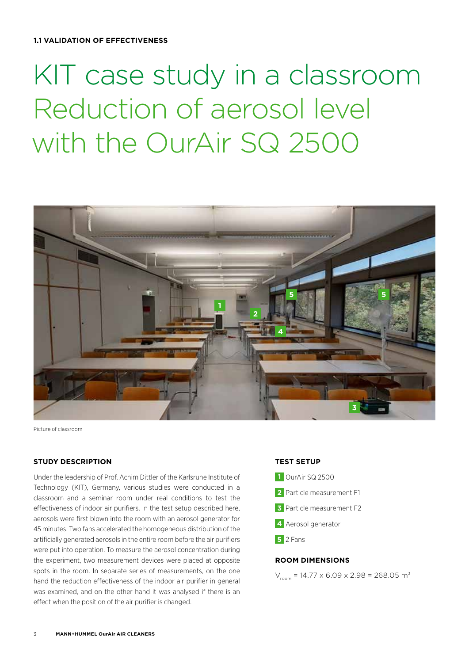# KIT case study in a classroom Reduction of aerosol level with the OurAir SQ 2500



Picture of classroom

### **STUDY DESCRIPTION**

Under the leadership of Prof. Achim Dittler of the Karlsruhe Institute of Technology (KIT), Germany, various studies were conducted in a classroom and a seminar room under real conditions to test the effectiveness of indoor air purifiers. In the test setup described here, aerosols were first blown into the room with an aerosol generator for 45 minutes. Two fans accelerated the homogeneous distribution of the artificially generated aerosols in the entire room before the air purifiers were put into operation. To measure the aerosol concentration during the experiment, two measurement devices were placed at opposite spots in the room. In separate series of measurements, on the one hand the reduction effectiveness of the indoor air purifier in general was examined, and on the other hand it was analysed if there is an effect when the position of the air purifier is changed.

### **TEST SETUP**



# **ROOM DIMENSIONS**

 $V_{\text{room}} = 14.77 \times 6.09 \times 2.98 = 268.05 \text{ m}^3$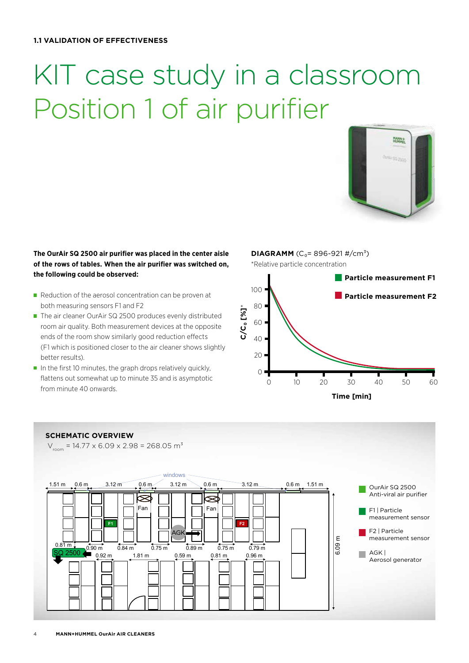# KIT case study in a classroom Position 1 of air purifier



# **The OurAir SQ 2500 air purifier was placed in the center aisle of the rows of tables. When the air purifier was switched on, the following could be observed:**

- $\blacksquare$  Reduction of the aerosol concentration can be proven at both measuring sensors F1 and F2
- The air cleaner OurAir SQ 2500 produces evenly distributed room air quality. Both measurement devices at the opposite ends of the room show similarly good reduction effects (F1 which is positioned closer to the air cleaner shows slightly better results).
- $\blacksquare$  In the first 10 minutes, the graph drops relatively quickly, flattens out somewhat up to minute 35 and is asymptotic from minute 40 onwards.

**DIAGRAMM**  $(C_0 = 896 - 921 \frac{\text{H}}{\text{cm}^3})$ \*Relative particle concentration



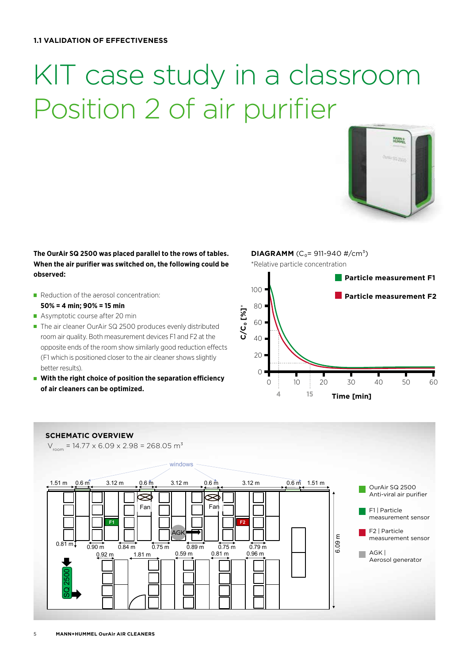# KIT case study in a classroom Position 2 of air purifier



**The OurAir SQ 2500 was placed parallel to the rows of tables. When the air purifier was switched on, the following could be observed:** 

- Reduction of the aerosol concentration: **50% = 4 min; 90% = 15 min**
- Asymptotic course after 20 min
- The air cleaner OurAir SQ 2500 produces evenly distributed room air quality. Both measurement devices F1 and F2 at the opposite ends of the room show similarly good reduction effects (F1 which is positioned closer to the air cleaner shows slightly better results).
- With the right choice of position the separation efficiency **of air cleaners can be optimized.**

**DIAGRAMM**  $(C_0 = 911-940 \frac{\text{H}}{\text{cm}^3})$ \*Relative particle concentration



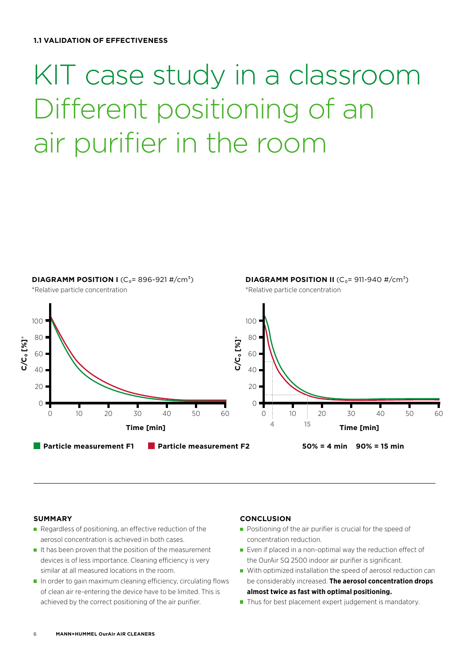# KIT case study in a classroom Different positioning of an air purifier in the room



#### **SUMMARY**

- Regardless of positioning, an effective reduction of the aerosol concentration is achieved in both cases.
- $\blacksquare$  It has been proven that the position of the measurement devices is of less importance. Cleaning efficiency is very similar at all measured locations in the room.
- $\blacksquare$  In order to gain maximum cleaning efficiency, circulating flows of clean air re-entering the device have to be limited. This is achieved by the correct positioning of the air purifier.

#### **CONCLUSION**

- **Positioning of the air purifier is crucial for the speed of** concentration reduction.
- $\blacksquare$  Even if placed in a non-optimal way the reduction effect of the OurAir SQ 2500 indoor air purifier is significant.
- With optimized installation the speed of aerosol reduction can be considerably increased. **The aerosol concentration drops almost twice as fast with optimal positioning.**
- $\blacksquare$  Thus for best placement expert judgement is mandatory.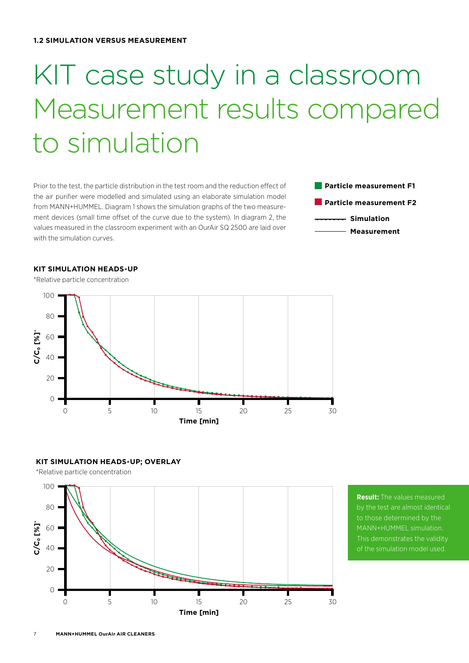# KIT case study in a classroom Measurement results compared to simulation

Prior to the test, the particle distribution in the test room and the reduction effect of the air purifier were modelled and simulated using an elaborate simulation model from MANN+HUMMEL. Diagram 1 shows the simulation graphs of the two measurement devices (small time offset of the curve due to the system). In diagram 2, the values measured in the classroom experiment with an OurAir SQ 2500 are laid over with the simulation curves.

**Particle measurement F1 Particle measurement F2 Simulation Measurement**

### **KIT SIMULATION HEADS-UP**

 $100$  $80$ **C/C₀ [%]**\* **Co [%]** 60 40 20  $\Omega$ 15 25  $\bigcap$ 5 10  $20$  $30$ **Time [min]**

# **KIT SIMULATION HEADS-UP; OVERLAY**



**Result:** The values measured by the test are almost identical to those determined by the MANN+HUMMEL simulation. This demonstrates the validity of the simulation model used.

\*Relative particle concentration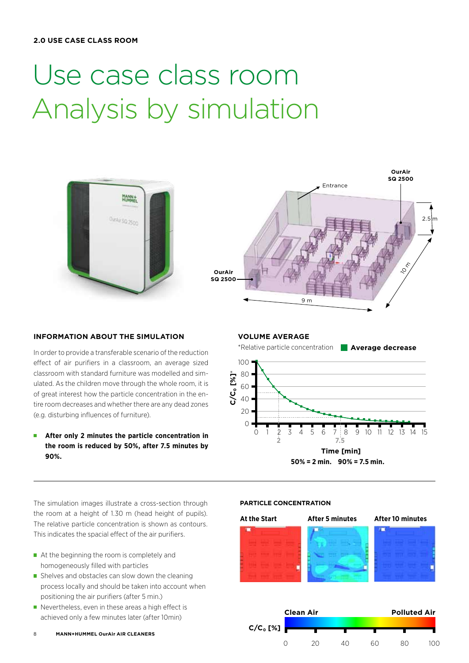# Use case class room Analysis by simulation





### **INFORMATION ABOUT THE SIMULATION**

In order to provide a transferable scenario of the reduction effect of air purifiers in a classroom, an average sized classroom with standard furniture was modelled and simulated. As the children move through the whole room, it is of great interest how the particle concentration in the entire room decreases and whether there are any dead zones (e.g. disturbing influences of furniture).

**After only 2 minutes the particle concentration in the room is reduced by 50%, after 7.5 minutes by 90%.**

**VOLUME AVERAGE**



The simulation images illustrate a cross-section through the room at a height of 1.30 m (head height of pupils). The relative particle concentration is shown as contours. This indicates the spacial effect of the air purifiers.

- At the beginning the room is completely and homogeneously filled with particles
- Shelves and obstacles can slow down the cleaning process locally and should be taken into account when positioning the air purifiers (after 5 min.)
- Nevertheless, even in these areas a high effect is achieved only a few minutes later (after 10min)

# **PARTICLE CONCENTRATION**

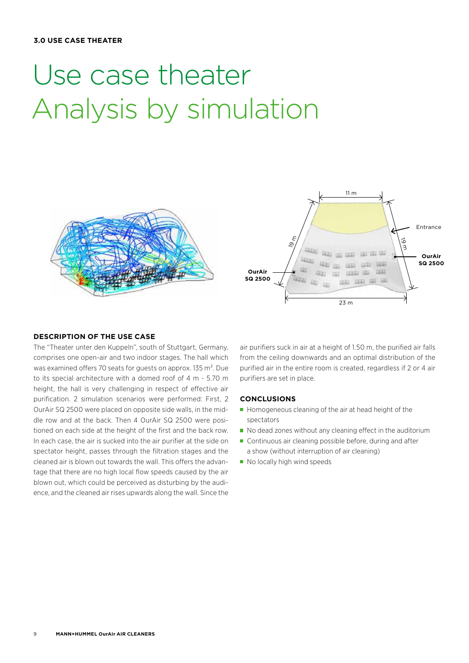### **3.0 USE CASE THEATER**

# Use case theater Analysis by simulation





### **DESCRIPTION OF THE USE CASE**

The "Theater unter den Kuppeln", south of Stuttgart, Germany, comprises one open-air and two indoor stages. The hall which was examined offers 70 seats for guests on approx. 135 m². Due to its special architecture with a domed roof of 4 m - 5.70 m height, the hall is very challenging in respect of effective air purification. 2 simulation scenarios were performed: First, 2 OurAir SQ 2500 were placed on opposite side walls, in the middle row and at the back. Then 4 OurAir SQ 2500 were positioned on each side at the height of the first and the back row. In each case, the air is sucked into the air purifier at the side on spectator height, passes through the filtration stages and the cleaned air is blown out towards the wall. This offers the advantage that there are no high local flow speeds caused by the air blown out, which could be perceived as disturbing by the audience, and the cleaned air rises upwards along the wall. Since the

air purifiers suck in air at a height of 1.50 m, the purified air falls from the ceiling downwards and an optimal distribution of the purified air in the entire room is created, regardless if 2 or 4 air purifiers are set in place.

### **CONCLUSIONS**

- Homogeneous cleaning of the air at head height of the spectators
- $\blacksquare$  No dead zones without any cleaning effect in the auditorium
- Continuous air cleaning possible before, during and after a show (without interruption of air cleaning)
- No locally high wind speeds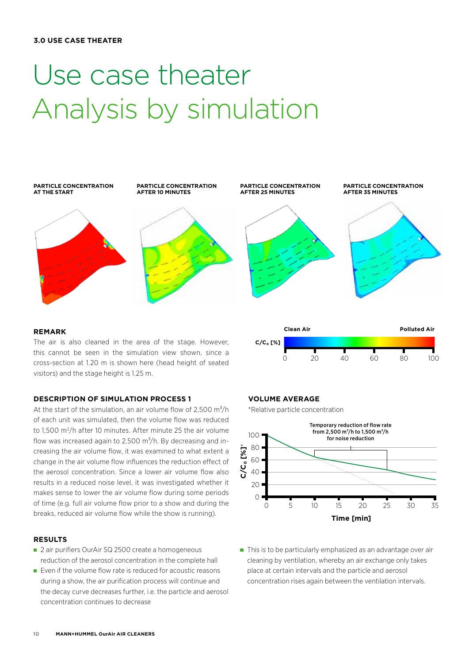### **3.0 USE CASE THEATER**

# Use case theater Analysis by simulation



#### **REMARK**

The air is also cleaned in the area of the stage. However, this cannot be seen in the simulation view shown, since a cross-section at 1.20 m is shown here (head height of seated visitors) and the stage height is 1.25 m.

#### **DESCRIPTION OF SIMULATION PROCESS 1**

At the start of the simulation, an air volume flow of  $2.500 \text{ m}^3/\text{h}$ of each unit was simulated, then the volume flow was reduced to 1,500 m<sup>3</sup>/h after 10 minutes. After minute 25 the air volume flow was increased again to 2,500  $m^3/h$ . By decreasing and increasing the air volume flow, it was examined to what extent a change in the air volume flow influences the reduction effect of the aerosol concentration. Since a lower air volume flow also results in a reduced noise level, it was investigated whether it makes sense to lower the air volume flow during some periods of time (e.g. full air volume flow prior to a show and during the breaks, reduced air volume flow while the show is running).

### **RESULTS**

- 2 air purifiers OurAir SQ 2500 create a homogeneous reduction of the aerosol concentration in the complete hall
- $\blacksquare$  Even if the volume flow rate is reduced for acoustic reasons during a show, the air purification process will continue and the decay curve decreases further, i.e. the particle and aerosol concentration continues to decrease

### **VOLUME AVERAGE**

**C/C₀ [%]**

\*Relative particle concentration



0 20 40 60 80 100

**Clean Air Polluted Air**

■ This is to be particularly emphasized as an advantage over air cleaning by ventilation, whereby an air exchange only takes place at certain intervals and the particle and aerosol concentration rises again between the ventilation intervals.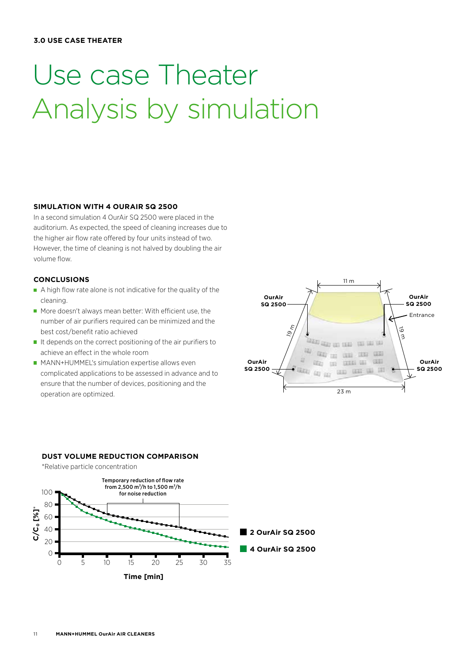### **3.0 USE CASE THEATER**

# Use case Theater Analysis by simulation

### **SIMULATION WITH 4 OURAIR SQ 2500**

In a second simulation 4 OurAir SQ 2500 were placed in the auditorium. As expected, the speed of cleaning increases due to the higher air flow rate offered by four units instead of two. However, the time of cleaning is not halved by doubling the air volume flow.

# **CONCLUSIONS**

- A high flow rate alone is not indicative for the quality of the cleaning.
- $\blacksquare$  More doesn't always mean better: With efficient use, the number of air purifiers required can be minimized and the best cost/benefit ratio achieved
- $\blacksquare$  It depends on the correct positioning of the air purifiers to achieve an effect in the whole room
- **MANN+HUMMEL's simulation expertise allows even** complicated applications to be assessed in advance and to ensure that the number of devices, positioning and the operation are optimized.



#### **DUST VOLUME REDUCTION COMPARISON**

\*Relative particle concentration

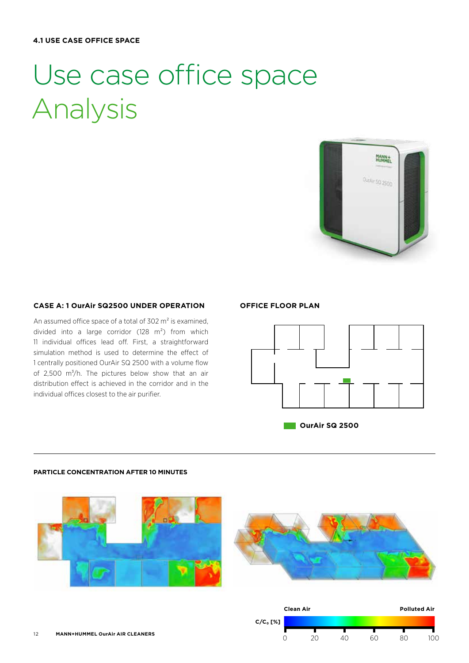# Use case office space Analysis



### **CASE A: 1 OurAir SQ2500 UNDER OPERATION**

An assumed office space of a total of 302 m² is examined, divided into a large corridor (128 m²) from which 11 individual offices lead off. First, a straightforward simulation method is used to determine the effect of 1 centrally positioned OurAir SQ 2500 with a volume flow of 2,500  $\text{m}^3/\text{h}$ . The pictures below show that an air distribution effect is achieved in the corridor and in the individual offices closest to the air purifier.

# **OFFICE FLOOR PLAN**



*<u>I</u>* **OurAir SQ 2500** 

#### **PARTICLE CONCENTRATION AFTER 10 MINUTES**